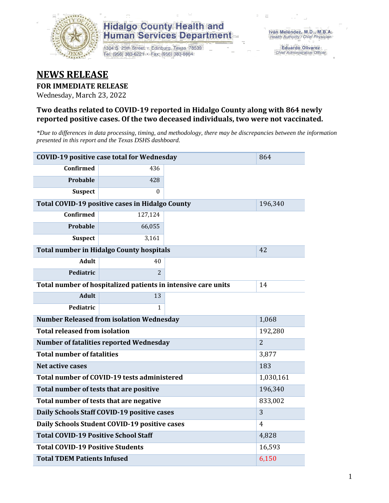

1304 S. 25th Street · Edinburg, Texas 78539 Tel: (956) 383-6221 · Fax: (956) 383-8864

**Eduardo Olivarez** Chief Administrative Officer

#### **NEWS RELEASE**

#### **FOR IMMEDIATE RELEASE**

Wednesday, March 23, 2022

#### **Two deaths related to COVID-19 reported in Hidalgo County along with 864 newly reported positive cases. Of the two deceased individuals, two were not vaccinated.**

*\*Due to differences in data processing, timing, and methodology, there may be discrepancies between the information presented in this report and the Texas DSHS dashboard.*

|                                                               | <b>COVID-19 positive case total for Wednesday</b> |         | 864            |
|---------------------------------------------------------------|---------------------------------------------------|---------|----------------|
| <b>Confirmed</b>                                              | 436                                               |         |                |
| Probable                                                      | 428                                               |         |                |
| <b>Suspect</b>                                                | $\Omega$                                          |         |                |
| Total COVID-19 positive cases in Hidalgo County               |                                                   | 196,340 |                |
| <b>Confirmed</b>                                              | 127,124                                           |         |                |
| Probable                                                      | 66,055                                            |         |                |
| <b>Suspect</b>                                                | 3,161                                             |         |                |
|                                                               | <b>Total number in Hidalgo County hospitals</b>   |         | 42             |
| <b>Adult</b>                                                  | 40                                                |         |                |
| Pediatric                                                     | $\overline{2}$                                    |         |                |
| Total number of hospitalized patients in intensive care units | 14                                                |         |                |
| <b>Adult</b>                                                  | 13                                                |         |                |
| Pediatric                                                     | 1                                                 |         |                |
|                                                               | <b>Number Released from isolation Wednesday</b>   |         | 1,068          |
| <b>Total released from isolation</b>                          |                                                   |         | 192,280        |
|                                                               | <b>Number of fatalities reported Wednesday</b>    |         | $\overline{2}$ |
| <b>Total number of fatalities</b>                             |                                                   |         | 3,877          |
| Net active cases                                              |                                                   |         | 183            |
|                                                               | Total number of COVID-19 tests administered       |         | 1,030,161      |
| Total number of tests that are positive                       |                                                   |         | 196,340        |
|                                                               | Total number of tests that are negative           |         | 833,002        |
|                                                               | Daily Schools Staff COVID-19 positive cases       |         | 3              |
|                                                               | Daily Schools Student COVID-19 positive cases     |         | 4              |
| <b>Total COVID-19 Positive School Staff</b>                   |                                                   |         | 4,828          |
| <b>Total COVID-19 Positive Students</b>                       | 16,593                                            |         |                |
| <b>Total TDEM Patients Infused</b>                            | 6,150                                             |         |                |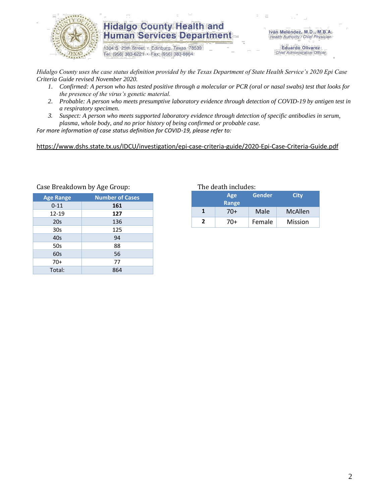

1304 S. 25th Street · Edinburg, Texas 78539 Tel: (956) 383-6221 · Fax: (956) 383-8864

Iván Meléndez, M.D., M.B.A. Health Authority / Chief Physician

> **Eduardo Olivarez** Chief Administrative Officer

*Hidalgo County uses the case status definition provided by the Texas Department of State Health Service's 2020 Epi Case Criteria Guide revised November 2020.*

- *1. Confirmed: A person who has tested positive through a molecular or PCR (oral or nasal swabs) test that looks for the presence of the virus's genetic material.*
- *2. Probable: A person who meets presumptive laboratory evidence through detection of COVID-19 by antigen test in a respiratory specimen.*
- *3. Suspect: A person who meets supported laboratory evidence through detection of specific antibodies in serum, plasma, whole body, and no prior history of being confirmed or probable case.*

*For more information of case status definition for COVID-19, please refer to:*

<https://www.dshs.state.tx.us/IDCU/investigation/epi-case-criteria-guide/2020-Epi-Case-Criteria-Guide.pdf>

| <b>Age Range</b> | <b>Number of Cases</b> |
|------------------|------------------------|
| $0 - 11$         | 161                    |
| 12-19            | 127                    |
| 20s              | 136                    |
| 30s              | 125                    |
| 40s              | 94                     |
| 50s              | 88                     |
| 60s              | 56                     |
| $70+$            | 77                     |
| Total:           | 864                    |

#### Case Breakdown by Age Group: The death includes:

|                          | Age<br>Range | Gender | City           |  |  |
|--------------------------|--------------|--------|----------------|--|--|
|                          | 70+          | Male   | <b>McAllen</b> |  |  |
| $\overline{\phantom{a}}$ | 70+          | Female | Mission        |  |  |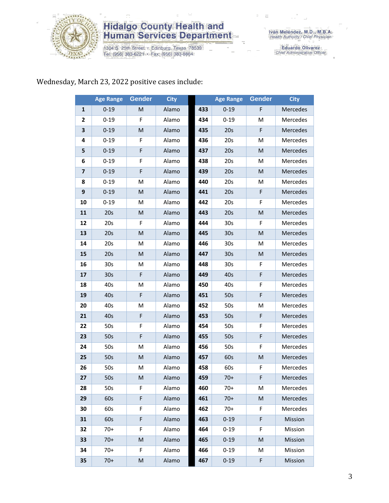

1304 S. 25th Street · Edinburg, Texas 78539<br>Tel: (956) 383-6221 · Fax: (956) 383-8864

Iván Meléndez, M.D., M.B.A.<br>Health Authority / Chief Physician

Eduardo Olivarez<br>Chief Administrative Officer

#### Wednesday, March 23, 2022 positive cases include:

|                         | <b>Age Range</b> | <b>Gender</b> | <b>City</b> |     | <b>Age Range</b> | <b>Gender</b> | <b>City</b>     |
|-------------------------|------------------|---------------|-------------|-----|------------------|---------------|-----------------|
| 1                       | $0 - 19$         | M             | Alamo       | 433 | $0 - 19$         | F             | Mercedes        |
| 2                       | $0 - 19$         | F             | Alamo       | 434 | $0 - 19$         | M             | Mercedes        |
| 3                       | $0 - 19$         | M             | Alamo       | 435 | 20s              | F             | Mercedes        |
| 4                       | $0 - 19$         | F             | Alamo       | 436 | 20s              | M             | Mercedes        |
| 5                       | $0 - 19$         | F             | Alamo       | 437 | 20s              | M             | Mercedes        |
| 6                       | $0 - 19$         | F             | Alamo       | 438 | 20s              | M             | Mercedes        |
| $\overline{\mathbf{z}}$ | $0 - 19$         | F             | Alamo       | 439 | 20s              | M             | Mercedes        |
| 8                       | $0 - 19$         | M             | Alamo       | 440 | 20s              | M             | Mercedes        |
| 9                       | $0 - 19$         | M             | Alamo       | 441 | 20s              | F             | Mercedes        |
| 10                      | $0 - 19$         | M             | Alamo       | 442 | 20s              | F             | Mercedes        |
| 11                      | 20s              | M             | Alamo       | 443 | 20s              | M             | Mercedes        |
| 12                      | 20s              | F             | Alamo       | 444 | 30s              | F             | Mercedes        |
| 13                      | 20s              | M             | Alamo       | 445 | 30 <sub>s</sub>  | M             | Mercedes        |
| 14                      | 20s              | м             | Alamo       | 446 | 30s              | M             | Mercedes        |
| 15                      | 20s              | M             | Alamo       | 447 | 30 <sub>s</sub>  | M             | Mercedes        |
| 16                      | 30 <sub>s</sub>  | M             | Alamo       | 448 | 30 <sub>s</sub>  | F             | Mercedes        |
| 17                      | 30 <sub>s</sub>  | F             | Alamo       | 449 | 40s              | F             | Mercedes        |
| 18                      | 40s              | M             | Alamo       | 450 | 40s              | F             | Mercedes        |
| 19                      | 40s              | F             | Alamo       | 451 | 50s              | F             | Mercedes        |
| 20                      | 40s              | M             | Alamo       | 452 | 50s              | M             | Mercedes        |
| 21                      | 40s              | F             | Alamo       | 453 | 50s              | F             | Mercedes        |
| 22                      | 50s              | F             | Alamo       | 454 | 50s              | F             | Mercedes        |
| 23                      | 50s              | F             | Alamo       | 455 | 50s              | F             | Mercedes        |
| 24                      | 50s              | M             | Alamo       | 456 | 50s              | F             | Mercedes        |
| 25                      | 50s              | M             | Alamo       | 457 | 60s              | M             | Mercedes        |
| 26                      | 50s              | M             | Alamo       | 458 | 60s              | F             | Mercedes        |
| 27                      | 50s              | M             | Alamo       | 459 | $70+$            | F             | <b>Mercedes</b> |
| 28                      | 50s              | F             | Alamo       | 460 | $70+$            | M             | Mercedes        |
| 29                      | 60s              | F             | Alamo       | 461 | $70+$            | M             | Mercedes        |
| 30                      | 60s              | F             | Alamo       | 462 | $70+$            | F.            | Mercedes        |
| 31                      | 60s              | F             | Alamo       | 463 | $0 - 19$         | F             | Mission         |
| 32                      | $70+$            | F             | Alamo       | 464 | $0 - 19$         | F             | Mission         |
| 33                      | $70+$            | M             | Alamo       | 465 | $0 - 19$         | ${\sf M}$     | Mission         |
| 34                      | $70+$            | F.            | Alamo       | 466 | $0 - 19$         | M             | Mission         |
| 35                      | $70+$            | M             | Alamo       | 467 | $0 - 19$         | F             | Mission         |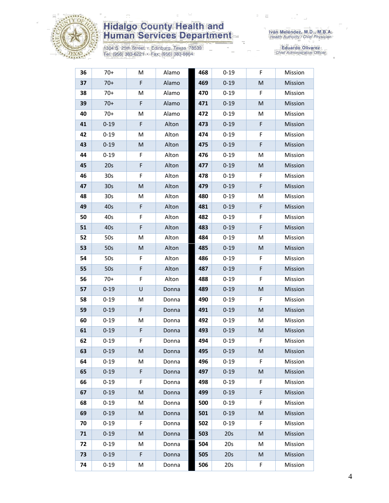

1304 S. 25th Street • Edinburg, Texas 78539<br>Tel: (956) 383-6221 • Fax: (956) 383-8864

Iván Meléndez, M.D., M.B.A.<br>Health Authority / Chief Physician

| 36 | $70+$           | M         | Alamo | 468 | $0 - 19$ | F           | Mission |
|----|-----------------|-----------|-------|-----|----------|-------------|---------|
| 37 | $70+$           | F         | Alamo | 469 | $0 - 19$ | M           | Mission |
| 38 | $70+$           | M         | Alamo | 470 | $0 - 19$ | F           | Mission |
| 39 | $70+$           | F         | Alamo | 471 | $0 - 19$ | M           | Mission |
| 40 | $70+$           | M         | Alamo | 472 | $0 - 19$ | M           | Mission |
| 41 | $0 - 19$        | F         | Alton | 473 | $0 - 19$ | F           | Mission |
| 42 | $0 - 19$        | M         | Alton | 474 | $0 - 19$ | F           | Mission |
| 43 | $0 - 19$        | ${\sf M}$ | Alton | 475 | $0 - 19$ | $\mathsf F$ | Mission |
| 44 | $0 - 19$        | F         | Alton | 476 | $0 - 19$ | M           | Mission |
| 45 | 20s             | F         | Alton | 477 | $0 - 19$ | M           | Mission |
| 46 | 30s             | F         | Alton | 478 | $0 - 19$ | F           | Mission |
| 47 | 30 <sub>s</sub> | M         | Alton | 479 | $0 - 19$ | $\mathsf F$ | Mission |
| 48 | 30s             | M         | Alton | 480 | $0 - 19$ | M           | Mission |
| 49 | 40s             | F         | Alton | 481 | $0 - 19$ | F           | Mission |
| 50 | 40s             | F         | Alton | 482 | $0 - 19$ | F           | Mission |
| 51 | 40s             | F         | Alton | 483 | $0 - 19$ | $\mathsf F$ | Mission |
| 52 | 50s             | M         | Alton | 484 | $0 - 19$ | M           | Mission |
| 53 | 50s             | ${\sf M}$ | Alton | 485 | $0 - 19$ | M           | Mission |
| 54 | 50s             | F         | Alton | 486 | $0 - 19$ | F           | Mission |
| 55 | 50s             | F         | Alton | 487 | $0 - 19$ | $\mathsf F$ | Mission |
| 56 | $70+$           | F         | Alton | 488 | $0 - 19$ | F           | Mission |
| 57 | $0 - 19$        | U         | Donna | 489 | $0 - 19$ | ${\sf M}$   | Mission |
| 58 | $0 - 19$        | M         | Donna | 490 | $0 - 19$ | F           | Mission |
| 59 | $0 - 19$        | F         | Donna | 491 | $0 - 19$ | M           | Mission |
| 60 | $0 - 19$        | M         | Donna | 492 | $0 - 19$ | M           | Mission |
| 61 | $0 - 19$        | F         | Donna | 493 | $0 - 19$ | M           | Mission |
| 62 | $0 - 19$        | F         | Donna | 494 | $0 - 19$ | F           | Mission |
| 63 | $0 - 19$        | M         | Donna | 495 | $0 - 19$ | M           | Mission |
| 64 | $0 - 19$        | м         | Donna | 496 | $0 - 19$ | F           | Mission |
| 65 | $0 - 19$        | F         | Donna | 497 | $0 - 19$ | M           | Mission |
| 66 | $0 - 19$        | F         | Donna | 498 | $0 - 19$ | F           | Mission |
| 67 | $0 - 19$        | M         | Donna | 499 | $0 - 19$ | F           | Mission |
| 68 | $0 - 19$        | M         | Donna | 500 | $0 - 19$ | F           | Mission |
| 69 | $0 - 19$        | M         | Donna | 501 | $0 - 19$ | M           | Mission |
| 70 | $0 - 19$        | F         | Donna | 502 | $0 - 19$ | F           | Mission |
| 71 | $0 - 19$        | M         | Donna | 503 | 20s      | M           | Mission |
| 72 | $0 - 19$        | M         | Donna | 504 | 20s      | M           | Mission |
| 73 | $0 - 19$        | F         | Donna | 505 | 20s      | M           | Mission |
| 74 | $0 - 19$        | M         | Donna | 506 | 20s      | F           | Mission |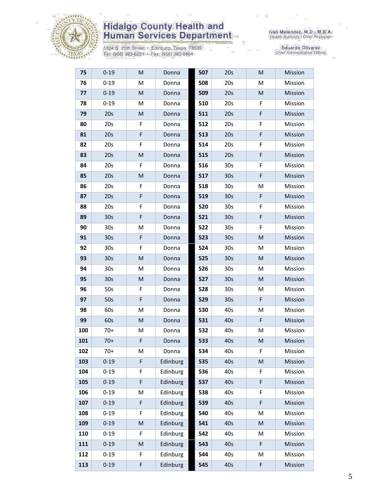

1304 S. 25th Street • Edinburg, Texas 78539<br>Tel: (956) 383-6221 • Fax: (956) 383-8864

Iván Meléndez, M.D., M.B.A.<br>Health Authority / Chief Physician

| 75  | $0 - 19$        | M | Donna    | 507 | 20s             | M | Mission |
|-----|-----------------|---|----------|-----|-----------------|---|---------|
| 76  | $0 - 19$        | M | Donna    | 508 | 20s             | M | Mission |
| 77  | $0 - 19$        | M | Donna    | 509 | 20s             | M | Mission |
| 78  | $0 - 19$        | M | Donna    | 510 | 20s             | F | Mission |
| 79  | 20s             | M | Donna    | 511 | 20s             | F | Mission |
| 80  | 20s             | F | Donna    | 512 | 20s             | F | Mission |
| 81  | 20s             | F | Donna    | 513 | 20s             | F | Mission |
| 82  | 20s             | F | Donna    | 514 | 20s             | F | Mission |
| 83  | 20s             | M | Donna    | 515 | 20s             | F | Mission |
| 84  | 20s             | F | Donna    | 516 | 30 <sub>s</sub> | F | Mission |
| 85  | 20s             | M | Donna    | 517 | 30 <sub>s</sub> | F | Mission |
| 86  | 20s             | F | Donna    | 518 | 30 <sub>s</sub> | M | Mission |
| 87  | 20s             | F | Donna    | 519 | 30 <sub>s</sub> | F | Mission |
| 88  | 20s             | F | Donna    | 520 | 30 <sub>s</sub> | F | Mission |
| 89  | 30 <sub>s</sub> | F | Donna    | 521 | 30 <sub>s</sub> | F | Mission |
| 90  | 30 <sub>s</sub> | M | Donna    | 522 | 30 <sub>s</sub> | F | Mission |
| 91  | 30 <sub>s</sub> | F | Donna    | 523 | 30 <sub>s</sub> | M | Mission |
| 92  | 30 <sub>s</sub> | F | Donna    | 524 | 30 <sub>s</sub> | М | Mission |
| 93  | 30s             | M | Donna    | 525 | 30 <sub>s</sub> | M | Mission |
| 94  | 30 <sub>s</sub> | M | Donna    | 526 | 30 <sub>s</sub> | M | Mission |
| 95  | 30 <sub>s</sub> | M | Donna    | 527 | 30 <sub>s</sub> | M | Mission |
| 96  | 50s             | F | Donna    | 528 | 30 <sub>s</sub> | M | Mission |
| 97  | 50s             | F | Donna    | 529 | 30 <sub>s</sub> | F | Mission |
| 98  | 60s             | M | Donna    | 530 | 40s             | M | Mission |
| 99  | 60s             | M | Donna    | 531 | 40s             | F | Mission |
| 100 | $70+$           | M | Donna    | 532 | 40s             | M | Mission |
| 101 | $70+$           | F | Donna    | 533 | 40s             | M | Mission |
| 102 | 70+             | M | Donna    | 534 | 40s             | F | Mission |
| 103 | $0 - 19$        | F | Edinburg | 535 | 40s             | M | Mission |
| 104 | $0 - 19$        | F | Edinburg | 536 | 40s             | F | Mission |
| 105 | $0 - 19$        | F | Edinburg | 537 | 40s             | F | Mission |
| 106 | $0 - 19$        | M | Edinburg | 538 | 40s             | F | Mission |
| 107 | $0 - 19$        | F | Edinburg | 539 | 40s             | F | Mission |
| 108 | $0 - 19$        | F | Edinburg | 540 | 40s             | M | Mission |
| 109 | $0 - 19$        | M | Edinburg | 541 | 40s             | M | Mission |
| 110 | $0 - 19$        | F | Edinburg | 542 | 40s             | M | Mission |
| 111 | $0 - 19$        | M | Edinburg | 543 | 40s             | F | Mission |
| 112 | $0 - 19$        | F | Edinburg | 544 | 40s             | M | Mission |
| 113 | $0 - 19$        | F | Edinburg | 545 | 40s             | F | Mission |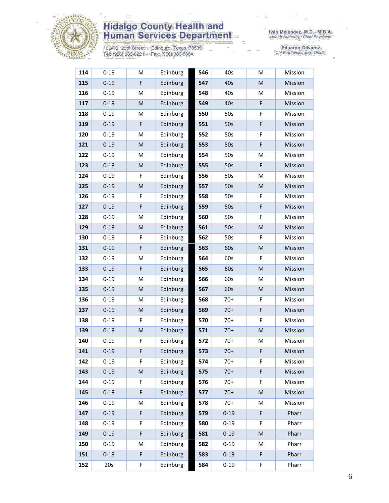

1304 S. 25th Street • Edinburg, Texas 78539<br>Tel: (956) 383-6221 • Fax: (956) 383-8864

Iván Meléndez, M.D., M.B.A.<br>Health Authority / Chief Physician

| 114 | $0 - 19$ | M         | Edinburg | 546 | 40s      | M           | Mission |
|-----|----------|-----------|----------|-----|----------|-------------|---------|
| 115 | $0 - 19$ | F         | Edinburg | 547 | 40s      | M           | Mission |
| 116 | $0 - 19$ | M         | Edinburg | 548 | 40s      | M           | Mission |
| 117 | $0 - 19$ | M         | Edinburg | 549 | 40s      | F           | Mission |
| 118 | $0 - 19$ | M         | Edinburg | 550 | 50s      | F           | Mission |
| 119 | $0 - 19$ | F         | Edinburg | 551 | 50s      | F           | Mission |
| 120 | $0 - 19$ | M         | Edinburg | 552 | 50s      | F           | Mission |
| 121 | $0 - 19$ | M         | Edinburg | 553 | 50s      | F           | Mission |
| 122 | $0 - 19$ | M         | Edinburg | 554 | 50s      | M           | Mission |
| 123 | $0 - 19$ | ${\sf M}$ | Edinburg | 555 | 50s      | F           | Mission |
| 124 | $0 - 19$ | F         | Edinburg | 556 | 50s      | M           | Mission |
| 125 | $0 - 19$ | M         | Edinburg | 557 | 50s      | M           | Mission |
| 126 | $0 - 19$ | F         | Edinburg | 558 | 50s      | F           | Mission |
| 127 | $0 - 19$ | F         | Edinburg | 559 | 50s      | $\mathsf F$ | Mission |
| 128 | $0 - 19$ | M         | Edinburg | 560 | 50s      | $\mathsf F$ | Mission |
| 129 | $0 - 19$ | M         | Edinburg | 561 | 50s      | M           | Mission |
| 130 | $0 - 19$ | F         | Edinburg | 562 | 50s      | F           | Mission |
| 131 | $0 - 19$ | F         | Edinburg | 563 | 60s      | ${\sf M}$   | Mission |
| 132 | $0 - 19$ | M         | Edinburg | 564 | 60s      | F           | Mission |
| 133 | $0 - 19$ | F         | Edinburg | 565 | 60s      | M           | Mission |
| 134 | $0 - 19$ | M         | Edinburg | 566 | 60s      | M           | Mission |
| 135 | $0 - 19$ | M         | Edinburg | 567 | 60s      | M           | Mission |
| 136 | $0 - 19$ | M         | Edinburg | 568 | $70+$    | F           | Mission |
| 137 | $0 - 19$ | M         | Edinburg | 569 | $70+$    | F           | Mission |
| 138 | $0 - 19$ | F         | Edinburg | 570 | $70+$    | F           | Mission |
| 139 | $0 - 19$ | M         | Edinburg | 571 | $70+$    | M           | Mission |
| 140 | $0 - 19$ | F         | Edinburg | 572 | $70+$    | M           | Mission |
| 141 | $0 - 19$ | F         | Edinburg | 573 | $70+$    | F           | Mission |
| 142 | $0 - 19$ | F         | Edinburg | 574 | $70+$    | F           | Mission |
| 143 | $0 - 19$ | M         | Edinburg | 575 | $70+$    | F           | Mission |
| 144 | $0 - 19$ | F         | Edinburg | 576 | $70+$    | F           | Mission |
| 145 | $0 - 19$ | F         | Edinburg | 577 | $70+$    | M           | Mission |
| 146 | $0 - 19$ | M         | Edinburg | 578 | $70+$    | M           | Mission |
| 147 | $0 - 19$ | F         | Edinburg | 579 | $0 - 19$ | F           | Pharr   |
| 148 | $0 - 19$ | F         | Edinburg | 580 | $0 - 19$ | F           | Pharr   |
| 149 | $0 - 19$ | F         | Edinburg | 581 | $0 - 19$ | M           | Pharr   |
| 150 | $0 - 19$ | M         | Edinburg | 582 | $0 - 19$ | M           | Pharr   |
| 151 | $0 - 19$ | F         | Edinburg | 583 | $0 - 19$ | F           | Pharr   |
| 152 | 20s      | F         | Edinburg | 584 | $0 - 19$ | F           | Pharr   |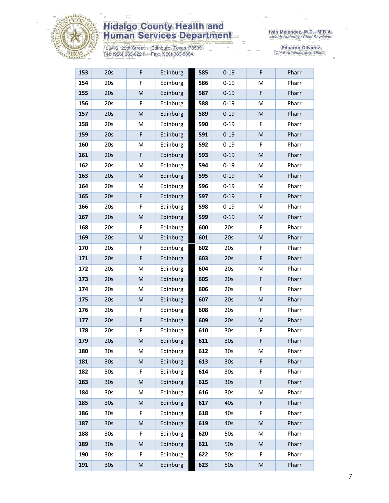

1304 S. 25th Street • Edinburg, Texas 78539<br>Tel: (956) 383-6221 • Fax: (956) 383-8864

| 153 | 20s             | F                                                                                                          | Edinburg | 585 | $0 - 19$        | F                                                                                                          | Pharr |
|-----|-----------------|------------------------------------------------------------------------------------------------------------|----------|-----|-----------------|------------------------------------------------------------------------------------------------------------|-------|
| 154 | 20s             | F                                                                                                          | Edinburg | 586 | $0 - 19$        | M                                                                                                          | Pharr |
| 155 | 20s             | M                                                                                                          | Edinburg | 587 | $0 - 19$        | $\mathsf F$                                                                                                | Pharr |
| 156 | 20s             | F                                                                                                          | Edinburg | 588 | $0 - 19$        | M                                                                                                          | Pharr |
| 157 | 20s             | M                                                                                                          | Edinburg | 589 | $0 - 19$        | M                                                                                                          | Pharr |
| 158 | 20s             | M                                                                                                          | Edinburg | 590 | $0 - 19$        | F                                                                                                          | Pharr |
| 159 | 20s             | F                                                                                                          | Edinburg | 591 | $0 - 19$        | M                                                                                                          | Pharr |
| 160 | 20s             | M                                                                                                          | Edinburg | 592 | $0 - 19$        | F                                                                                                          | Pharr |
| 161 | 20s             | F                                                                                                          | Edinburg | 593 | $0 - 19$        | M                                                                                                          | Pharr |
| 162 | 20s             | M                                                                                                          | Edinburg | 594 | $0 - 19$        | M                                                                                                          | Pharr |
| 163 | 20s             | M                                                                                                          | Edinburg | 595 | $0 - 19$        | M                                                                                                          | Pharr |
| 164 | 20s             | M                                                                                                          | Edinburg | 596 | $0 - 19$        | M                                                                                                          | Pharr |
| 165 | 20s             | F                                                                                                          | Edinburg | 597 | $0 - 19$        | F                                                                                                          | Pharr |
| 166 | 20s             | F                                                                                                          | Edinburg | 598 | $0 - 19$        | м                                                                                                          | Pharr |
| 167 | 20s             | M                                                                                                          | Edinburg | 599 | $0 - 19$        | M                                                                                                          | Pharr |
| 168 | 20s             | F                                                                                                          | Edinburg | 600 | 20s             | F                                                                                                          | Pharr |
| 169 | 20s             | M                                                                                                          | Edinburg | 601 | 20s             | M                                                                                                          | Pharr |
| 170 | 20s             | F                                                                                                          | Edinburg | 602 | 20s             | F                                                                                                          | Pharr |
| 171 | 20s             | F                                                                                                          | Edinburg | 603 | 20s             | $\mathsf F$                                                                                                | Pharr |
| 172 | 20s             | M                                                                                                          | Edinburg | 604 | 20s             | M                                                                                                          | Pharr |
| 173 | 20s             | M                                                                                                          | Edinburg | 605 | 20s             | F                                                                                                          | Pharr |
| 174 | 20s             | M                                                                                                          | Edinburg | 606 | 20s             | F                                                                                                          | Pharr |
| 175 | 20s             | M                                                                                                          | Edinburg | 607 | 20s             | M                                                                                                          | Pharr |
| 176 | 20s             | F                                                                                                          | Edinburg | 608 | 20s             | F                                                                                                          | Pharr |
| 177 | 20s             | F                                                                                                          | Edinburg | 609 | 20s             | $\mathsf{M}% _{T}=\mathsf{M}_{T}\!\left( a,b\right) ,\ \mathsf{M}_{T}=\mathsf{M}_{T}\!\left( a,b\right) ,$ | Pharr |
| 178 | 20s             | F                                                                                                          | Edinburg | 610 | 30 <sub>s</sub> | F                                                                                                          | Pharr |
| 179 | 20s             | $\mathsf{M}% _{T}=\mathsf{M}_{T}\!\left( a,b\right) ,\ \mathsf{M}_{T}=\mathsf{M}_{T}\!\left( a,b\right) ,$ | Edinburg | 611 | 30s             | $\mathsf F$                                                                                                | Pharr |
| 180 | $30s$           | M                                                                                                          | Edinburg | 612 | $30s$           | M                                                                                                          | Pharr |
| 181 | 30s             | M                                                                                                          | Edinburg | 613 | 30 <sub>s</sub> | F                                                                                                          | Pharr |
| 182 | 30 <sub>s</sub> | F                                                                                                          | Edinburg | 614 | 30 <sub>s</sub> | F                                                                                                          | Pharr |
| 183 | 30 <sub>s</sub> | M                                                                                                          | Edinburg | 615 | 30 <sub>s</sub> | F                                                                                                          | Pharr |
| 184 | 30 <sub>s</sub> | M                                                                                                          | Edinburg | 616 | 30 <sub>s</sub> | M                                                                                                          | Pharr |
| 185 | 30 <sub>s</sub> | M                                                                                                          | Edinburg | 617 | 40s             | F                                                                                                          | Pharr |
| 186 | 30 <sub>s</sub> | F                                                                                                          | Edinburg | 618 | 40s             | F                                                                                                          | Pharr |
| 187 | 30 <sub>s</sub> | M                                                                                                          | Edinburg | 619 | 40s             | M                                                                                                          | Pharr |
| 188 | 30s             | F                                                                                                          | Edinburg | 620 | 50s             | M                                                                                                          | Pharr |
| 189 | 30 <sub>s</sub> | M                                                                                                          | Edinburg | 621 | 50s             | M                                                                                                          | Pharr |
| 190 | 30 <sub>s</sub> | F                                                                                                          | Edinburg | 622 | 50s             | F.                                                                                                         | Pharr |
| 191 | 30 <sub>s</sub> | $\mathsf{M}% _{T}=\mathsf{M}_{T}\!\left( a,b\right) ,\ \mathsf{M}_{T}=\mathsf{M}_{T}\!\left( a,b\right) ,$ | Edinburg | 623 | 50s             | ${\sf M}$                                                                                                  | Pharr |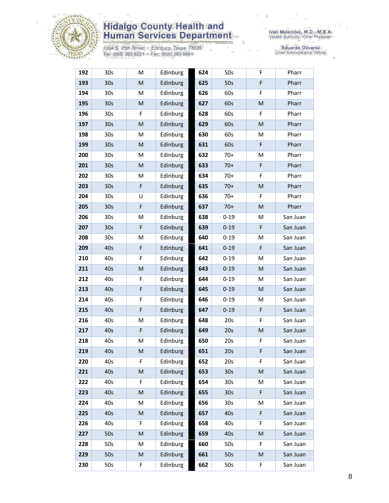

1304 S. 25th Street • Edinburg, Texas 78539<br>Tel: (956) 383-6221 • Fax: (956) 383-8864

| 192 | 30s             | M | Edinburg | 624 | 50s             | F           | Pharr    |
|-----|-----------------|---|----------|-----|-----------------|-------------|----------|
| 193 | 30 <sub>s</sub> | M | Edinburg | 625 | 50s             | $\mathsf F$ | Pharr    |
| 194 | 30 <sub>s</sub> | М | Edinburg | 626 | 60s             | F           | Pharr    |
| 195 | 30 <sub>s</sub> | M | Edinburg | 627 | 60s             | M           | Pharr    |
| 196 | 30s             | F | Edinburg | 628 | 60s             | F           | Pharr    |
| 197 | 30 <sub>s</sub> | M | Edinburg | 629 | 60s             | M           | Pharr    |
| 198 | 30 <sub>s</sub> | M | Edinburg | 630 | 60s             | M           | Pharr    |
| 199 | 30 <sub>s</sub> | M | Edinburg | 631 | 60s             | F           | Pharr    |
| 200 | 30s             | M | Edinburg | 632 | $70+$           | M           | Pharr    |
| 201 | 30 <sub>s</sub> | M | Edinburg | 633 | $70+$           | F           | Pharr    |
| 202 | 30s             | M | Edinburg | 634 | $70+$           | F           | Pharr    |
| 203 | 30 <sub>s</sub> | F | Edinburg | 635 | $70+$           | M           | Pharr    |
| 204 | 30s             | U | Edinburg | 636 | $70+$           | F           | Pharr    |
| 205 | 30 <sub>s</sub> | F | Edinburg | 637 | $70+$           | M           | Pharr    |
| 206 | 30 <sub>s</sub> | M | Edinburg | 638 | $0 - 19$        | M           | San Juan |
| 207 | 30 <sub>s</sub> | F | Edinburg | 639 | $0 - 19$        | F           | San Juan |
| 208 | 30 <sub>s</sub> | M | Edinburg | 640 | $0 - 19$        | M           | San Juan |
| 209 | 40s             | F | Edinburg | 641 | $0 - 19$        | F           | San Juan |
| 210 | 40s             | F | Edinburg | 642 | $0 - 19$        | M           | San Juan |
| 211 | 40s             | M | Edinburg | 643 | $0 - 19$        | M           | San Juan |
| 212 | 40s             | F | Edinburg | 644 | $0 - 19$        | M           | San Juan |
| 213 | 40s             | F | Edinburg | 645 | $0 - 19$        | M           | San Juan |
| 214 | 40s             | F | Edinburg | 646 | $0 - 19$        | м           | San Juan |
| 215 | 40s             | F | Edinburg | 647 | $0 - 19$        | F           | San Juan |
| 216 | 40s             | M | Edinburg | 648 | 20s             | F           | San Juan |
| 217 | 40s             | F | Edinburg | 649 | 20s             | ${\sf M}$   | San Juan |
| 218 | 40s             | M | Edinburg | 650 | 20s             | F           | San Juan |
| 219 | 40s             | M | Edinburg | 651 | 20s             | F           | San Juan |
| 220 | 40s             | F | Edinburg | 652 | 20s             | F           | San Juan |
| 221 | 40s             | M | Edinburg | 653 | 30 <sub>s</sub> | M           | San Juan |
| 222 | 40s             | F | Edinburg | 654 | 30 <sub>s</sub> | M           | San Juan |
| 223 | 40s             | M | Edinburg | 655 | 30 <sub>s</sub> | F           | San Juan |
| 224 | 40s             | Μ | Edinburg | 656 | 30s             | м           | San Juan |
| 225 | 40s             | M | Edinburg | 657 | 40s             | F           | San Juan |
| 226 | 40s             | F | Edinburg | 658 | 40s             | F           | San Juan |
| 227 | 50s             | M | Edinburg | 659 | 40s             | M           | San Juan |
| 228 | 50s             | М | Edinburg | 660 | 50s             | F           | San Juan |
| 229 | 50s             | M | Edinburg | 661 | 50s             | M           | San Juan |
| 230 | 50s             | F | Edinburg | 662 | 50s             | F           | San Juan |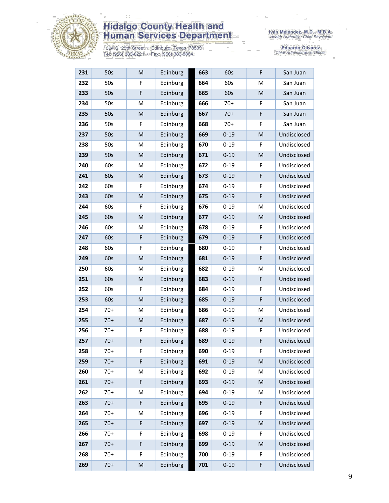

1304 S. 25th Street · Edinburg, Texas 78539<br>Tel: (956) 383-6221 · Fax: (956) 383-8864

| 231 | 50s   | M | Edinburg | 663 | 60s      | F           | San Juan    |
|-----|-------|---|----------|-----|----------|-------------|-------------|
| 232 | 50s   | F | Edinburg | 664 | 60s      | M           | San Juan    |
| 233 | 50s   | F | Edinburg | 665 | 60s      | M           | San Juan    |
| 234 | 50s   | M | Edinburg | 666 | $70+$    | F           | San Juan    |
| 235 | 50s   | M | Edinburg | 667 | $70+$    | F           | San Juan    |
| 236 | 50s   | F | Edinburg | 668 | $70+$    | F           | San Juan    |
| 237 | 50s   | M | Edinburg | 669 | $0 - 19$ | M           | Undisclosed |
| 238 | 50s   | M | Edinburg | 670 | $0 - 19$ | F           | Undisclosed |
| 239 | 50s   | M | Edinburg | 671 | $0 - 19$ | M           | Undisclosed |
| 240 | 60s   | M | Edinburg | 672 | $0 - 19$ | F           | Undisclosed |
| 241 | 60s   | M | Edinburg | 673 | $0 - 19$ | F           | Undisclosed |
| 242 | 60s   | F | Edinburg | 674 | $0 - 19$ | F           | Undisclosed |
| 243 | 60s   | M | Edinburg | 675 | $0 - 19$ | $\mathsf F$ | Undisclosed |
| 244 | 60s   | F | Edinburg | 676 | $0 - 19$ | M           | Undisclosed |
| 245 | 60s   | M | Edinburg | 677 | $0 - 19$ | M           | Undisclosed |
| 246 | 60s   | M | Edinburg | 678 | $0 - 19$ | F           | Undisclosed |
| 247 | 60s   | F | Edinburg | 679 | $0 - 19$ | F           | Undisclosed |
| 248 | 60s   | F | Edinburg | 680 | $0 - 19$ | F           | Undisclosed |
| 249 | 60s   | M | Edinburg | 681 | $0 - 19$ | F           | Undisclosed |
| 250 | 60s   | M | Edinburg | 682 | $0 - 19$ | м           | Undisclosed |
| 251 | 60s   | M | Edinburg | 683 | $0 - 19$ | $\mathsf F$ | Undisclosed |
| 252 | 60s   | F | Edinburg | 684 | $0 - 19$ | F           | Undisclosed |
| 253 | 60s   | M | Edinburg | 685 | $0 - 19$ | $\mathsf F$ | Undisclosed |
| 254 | $70+$ | M | Edinburg | 686 | $0 - 19$ | M           | Undisclosed |
| 255 | $70+$ | M | Edinburg | 687 | $0 - 19$ | M           | Undisclosed |
| 256 | $70+$ | F | Edinburg | 688 | $0 - 19$ | F           | Undisclosed |
| 257 | $70+$ | F | Edinburg | 689 | $0 - 19$ | $\mathsf F$ | Undisclosed |
| 258 | $70+$ | F | Edinburg | 690 | $0 - 19$ | F           | Undisclosed |
| 259 | $70+$ | F | Edinburg | 691 | $0 - 19$ | M           | Undisclosed |
| 260 | $70+$ | M | Edinburg | 692 | $0 - 19$ | M           | Undisclosed |
| 261 | $70+$ | F | Edinburg | 693 | $0 - 19$ | M           | Undisclosed |
| 262 | $70+$ | M | Edinburg | 694 | $0 - 19$ | M           | Undisclosed |
| 263 | $70+$ | F | Edinburg | 695 | $0 - 19$ | F           | Undisclosed |
| 264 | $70+$ | М | Edinburg | 696 | $0 - 19$ | F           | Undisclosed |
| 265 | $70+$ | F | Edinburg | 697 | $0 - 19$ | M           | Undisclosed |
| 266 | $70+$ | F | Edinburg | 698 | $0 - 19$ | F           | Undisclosed |
| 267 | $70+$ | F | Edinburg | 699 | $0 - 19$ | M           | Undisclosed |
| 268 | $70+$ | F | Edinburg | 700 | $0 - 19$ | F           | Undisclosed |
| 269 | $70+$ | M | Edinburg | 701 | $0 - 19$ | F           | Undisclosed |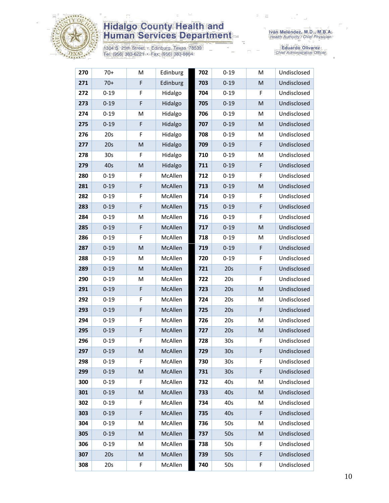

1304 S. 25th Street · Edinburg, Texas 78539<br>Tel: (956) 383-6221 · Fax: (956) 383-8864

Iván Meléndez, M.D., M.B.A.<br>Health Authority / Chief Physician

| 270 | $70+$           | M | Edinburg       | 702 | $0 - 19$        | M                                                                                                          | Undisclosed |
|-----|-----------------|---|----------------|-----|-----------------|------------------------------------------------------------------------------------------------------------|-------------|
| 271 | $70+$           | F | Edinburg       | 703 | $0 - 19$        | M                                                                                                          | Undisclosed |
| 272 | $0 - 19$        | F | Hidalgo        | 704 | $0 - 19$        | F                                                                                                          | Undisclosed |
| 273 | $0 - 19$        | F | Hidalgo        | 705 | $0 - 19$        | M                                                                                                          | Undisclosed |
| 274 | $0 - 19$        | M | Hidalgo        | 706 | $0 - 19$        | M                                                                                                          | Undisclosed |
| 275 | $0 - 19$        | F | Hidalgo        | 707 | $0 - 19$        | M                                                                                                          | Undisclosed |
| 276 | 20s             | F | Hidalgo        | 708 | $0 - 19$        | M                                                                                                          | Undisclosed |
| 277 | 20s             | M | Hidalgo        | 709 | $0 - 19$        | F                                                                                                          | Undisclosed |
| 278 | 30 <sub>s</sub> | F | Hidalgo        | 710 | $0 - 19$        | М                                                                                                          | Undisclosed |
| 279 | 40s             | M | Hidalgo        | 711 | $0 - 19$        | F                                                                                                          | Undisclosed |
| 280 | $0 - 19$        | F | McAllen        | 712 | $0 - 19$        | F                                                                                                          | Undisclosed |
| 281 | $0 - 19$        | F | McAllen        | 713 | $0 - 19$        | M                                                                                                          | Undisclosed |
| 282 | $0 - 19$        | F | McAllen        | 714 | $0 - 19$        | F                                                                                                          | Undisclosed |
| 283 | $0 - 19$        | F | McAllen        | 715 | $0 - 19$        | F                                                                                                          | Undisclosed |
| 284 | $0 - 19$        | M | McAllen        | 716 | $0 - 19$        | F                                                                                                          | Undisclosed |
| 285 | $0 - 19$        | F | McAllen        | 717 | $0 - 19$        | M                                                                                                          | Undisclosed |
| 286 | $0 - 19$        | F | McAllen        | 718 | $0 - 19$        | M                                                                                                          | Undisclosed |
| 287 | $0 - 19$        | M | McAllen        | 719 | $0 - 19$        | F                                                                                                          | Undisclosed |
| 288 | $0 - 19$        | M | McAllen        | 720 | $0 - 19$        | F                                                                                                          | Undisclosed |
| 289 | $0 - 19$        | M | McAllen        | 721 | 20s             | F                                                                                                          | Undisclosed |
| 290 | $0 - 19$        | M | McAllen        | 722 | 20s             | F                                                                                                          | Undisclosed |
| 291 | $0 - 19$        | F | McAllen        | 723 | 20s             | M                                                                                                          | Undisclosed |
| 292 | $0 - 19$        | F | McAllen        | 724 | 20s             | M                                                                                                          | Undisclosed |
| 293 | $0 - 19$        | F | McAllen        | 725 | 20s             | F                                                                                                          | Undisclosed |
| 294 | $0 - 19$        | F | McAllen        | 726 | 20s             | M                                                                                                          | Undisclosed |
| 295 | $0 - 19$        | F | <b>McAllen</b> | 727 | 20s             | M                                                                                                          | Undisclosed |
| 296 | $0 - 19$        | F | McAllen        | 728 | 30 <sub>s</sub> | F                                                                                                          | Undisclosed |
| 297 | $0 - 19$        | M | McAllen        | 729 | 30 <sub>s</sub> | F                                                                                                          | Undisclosed |
| 298 | $0 - 19$        | F | McAllen        | 730 | 30 <sub>s</sub> | F                                                                                                          | Undisclosed |
| 299 | $0 - 19$        | M | McAllen        | 731 | 30 <sub>s</sub> | F                                                                                                          | Undisclosed |
| 300 | $0 - 19$        | F | McAllen        | 732 | 40s             | M                                                                                                          | Undisclosed |
| 301 | $0 - 19$        | M | McAllen        | 733 | 40s             | $\mathsf{M}% _{T}=\mathsf{M}_{T}\!\left( a,b\right) ,\ \mathsf{M}_{T}=\mathsf{M}_{T}\!\left( a,b\right) ,$ | Undisclosed |
| 302 | $0 - 19$        | F | McAllen        | 734 | 40s             | M                                                                                                          | Undisclosed |
| 303 | $0 - 19$        | F | McAllen        | 735 | 40s             | F                                                                                                          | Undisclosed |
| 304 | $0 - 19$        | M | McAllen        | 736 | 50s             | M                                                                                                          | Undisclosed |
| 305 | $0 - 19$        | M | McAllen        | 737 | 50s             | M                                                                                                          | Undisclosed |
| 306 | $0 - 19$        | M | McAllen        | 738 | 50s             | F                                                                                                          | Undisclosed |
| 307 | 20s             | M | McAllen        | 739 | 50s             | F                                                                                                          | Undisclosed |
| 308 | 20s             | F | McAllen        | 740 | 50s             | F                                                                                                          | Undisclosed |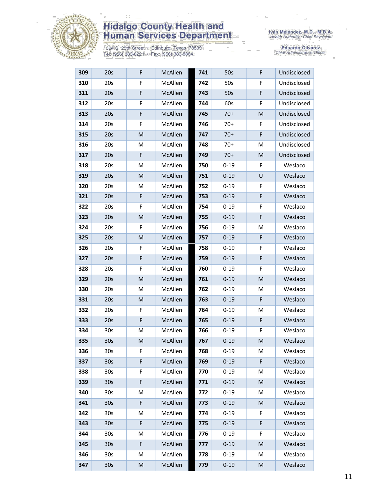

1304 S. 25th Street • Edinburg, Texas 78539<br>Tel: (956) 383-6221 • Fax: (956) 383-8864

| 309 | 20s             | F                                                                                                          | McAllen | 741 | 50s      | F | Undisclosed |
|-----|-----------------|------------------------------------------------------------------------------------------------------------|---------|-----|----------|---|-------------|
| 310 | 20s             | F                                                                                                          | McAllen | 742 | 50s      | F | Undisclosed |
| 311 | 20s             | F                                                                                                          | McAllen | 743 | 50s      | F | Undisclosed |
| 312 | 20s             | F                                                                                                          | McAllen | 744 | 60s      | F | Undisclosed |
| 313 | 20s             | F                                                                                                          | McAllen | 745 | $70+$    | M | Undisclosed |
| 314 | 20s             | F                                                                                                          | McAllen | 746 | $70+$    | F | Undisclosed |
| 315 | 20s             | M                                                                                                          | McAllen | 747 | $70+$    | F | Undisclosed |
| 316 | 20s             | M                                                                                                          | McAllen | 748 | $70+$    | м | Undisclosed |
| 317 | 20s             | F                                                                                                          | McAllen | 749 | $70+$    | M | Undisclosed |
| 318 | 20s             | M                                                                                                          | McAllen | 750 | $0 - 19$ | F | Weslaco     |
| 319 | 20s             | M                                                                                                          | McAllen | 751 | $0 - 19$ | U | Weslaco     |
| 320 | 20s             | M                                                                                                          | McAllen | 752 | $0 - 19$ | F | Weslaco     |
| 321 | 20s             | F                                                                                                          | McAllen | 753 | $0 - 19$ | F | Weslaco     |
| 322 | 20s             | F                                                                                                          | McAllen | 754 | $0 - 19$ | F | Weslaco     |
| 323 | 20s             | M                                                                                                          | McAllen | 755 | $0 - 19$ | F | Weslaco     |
| 324 | 20s             | F                                                                                                          | McAllen | 756 | $0 - 19$ | M | Weslaco     |
| 325 | 20s             | M                                                                                                          | McAllen | 757 | $0 - 19$ | F | Weslaco     |
| 326 | 20s             | F                                                                                                          | McAllen | 758 | $0 - 19$ | F | Weslaco     |
| 327 | 20s             | F                                                                                                          | McAllen | 759 | $0 - 19$ | F | Weslaco     |
| 328 | 20s             | F                                                                                                          | McAllen | 760 | $0 - 19$ | F | Weslaco     |
| 329 | 20s             | M                                                                                                          | McAllen | 761 | $0 - 19$ | M | Weslaco     |
| 330 | 20s             | M                                                                                                          | McAllen | 762 | $0 - 19$ | М | Weslaco     |
| 331 | 20s             | $\mathsf{M}% _{T}=\mathsf{M}_{T}\!\left( a,b\right) ,\ \mathsf{M}_{T}=\mathsf{M}_{T}\!\left( a,b\right) ,$ | McAllen | 763 | $0 - 19$ | F | Weslaco     |
| 332 | 20s             | F                                                                                                          | McAllen | 764 | $0 - 19$ | M | Weslaco     |
| 333 | 20s             | F                                                                                                          | McAllen | 765 | $0 - 19$ | F | Weslaco     |
| 334 | 30s             | M                                                                                                          | McAllen | 766 | $0 - 19$ | F | Weslaco     |
| 335 | 30 <sub>s</sub> | M                                                                                                          | McAllen | 767 | $0 - 19$ | M | Weslaco     |
| 336 | 30 <sub>s</sub> | F                                                                                                          | McAllen | 768 | $0 - 19$ | М | Weslaco     |
| 337 | 30 <sub>s</sub> | F                                                                                                          | McAllen | 769 | $0 - 19$ | F | Weslaco     |
| 338 | 30s             | F                                                                                                          | McAllen | 770 | $0 - 19$ | М | Weslaco     |
| 339 | 30 <sub>s</sub> | F                                                                                                          | McAllen | 771 | $0 - 19$ | M | Weslaco     |
| 340 | 30s             | Μ                                                                                                          | McAllen | 772 | $0 - 19$ | M | Weslaco     |
| 341 | 30 <sub>s</sub> | F                                                                                                          | McAllen | 773 | $0 - 19$ | M | Weslaco     |
| 342 | 30s             | M                                                                                                          | McAllen | 774 | $0 - 19$ | F | Weslaco     |
| 343 | 30 <sub>s</sub> | F                                                                                                          | McAllen | 775 | $0 - 19$ | F | Weslaco     |
| 344 | 30s             | Μ                                                                                                          | McAllen | 776 | $0 - 19$ | F | Weslaco     |
| 345 | 30 <sub>s</sub> | F                                                                                                          | McAllen | 777 | $0 - 19$ | M | Weslaco     |
| 346 | 30s             | M                                                                                                          | McAllen | 778 | $0 - 19$ | M | Weslaco     |
| 347 | 30 <sub>s</sub> | M                                                                                                          | McAllen | 779 | $0 - 19$ | M | Weslaco     |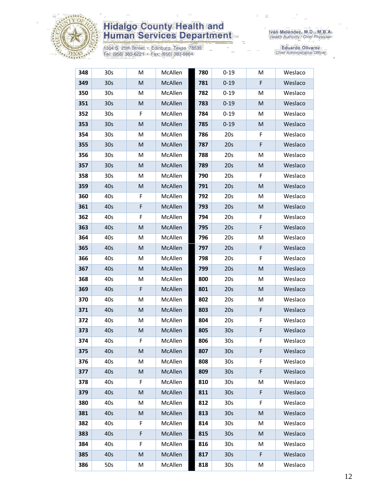

1304 S. 25th Street • Edinburg, Texas 78539<br>Tel: (956) 383-6221 • Fax: (956) 383-8864

Iván Meléndez, M.D., M.B.A.<br>Health Authority / Chief Physician

| 348 | 30s             | M | McAllen | 780 | $0 - 19$        | M  | Weslaco |
|-----|-----------------|---|---------|-----|-----------------|----|---------|
| 349 | 30 <sub>s</sub> | M | McAllen | 781 | $0 - 19$        | F  | Weslaco |
| 350 | 30s             | M | McAllen | 782 | $0 - 19$        | м  | Weslaco |
| 351 | 30 <sub>s</sub> | M | McAllen | 783 | $0 - 19$        | M  | Weslaco |
| 352 | 30s             | F | McAllen | 784 | $0 - 19$        | M  | Weslaco |
| 353 | 30 <sub>s</sub> | M | McAllen | 785 | $0 - 19$        | M  | Weslaco |
| 354 | 30s             | M | McAllen | 786 | 20s             | F  | Weslaco |
| 355 | 30 <sub>s</sub> | M | McAllen | 787 | 20s             | F  | Weslaco |
| 356 | 30s             | M | McAllen | 788 | 20s             | M  | Weslaco |
| 357 | 30 <sub>s</sub> | M | McAllen | 789 | 20s             | M  | Weslaco |
| 358 | 30s             | M | McAllen | 790 | 20s             | F  | Weslaco |
| 359 | 40s             | M | McAllen | 791 | 20s             | M  | Weslaco |
| 360 | 40s             | F | McAllen | 792 | 20s             | M  | Weslaco |
| 361 | 40s             | F | McAllen | 793 | 20s             | M  | Weslaco |
| 362 | 40s             | F | McAllen | 794 | 20s             | F  | Weslaco |
| 363 | 40s             | M | McAllen | 795 | 20s             | F  | Weslaco |
| 364 | 40s             | м | McAllen | 796 | 20s             | м  | Weslaco |
| 365 | 40s             | M | McAllen | 797 | 20s             | F  | Weslaco |
| 366 | 40s             | M | McAllen | 798 | 20s             | F  | Weslaco |
| 367 | 40s             | M | McAllen | 799 | 20s             | M  | Weslaco |
| 368 | 40s             | M | McAllen | 800 | 20s             | M  | Weslaco |
| 369 | 40s             | F | McAllen | 801 | 20s             | M  | Weslaco |
| 370 | 40s             | M | McAllen | 802 | 20s             | M  | Weslaco |
| 371 | 40s             | M | McAllen | 803 | 20s             | F  | Weslaco |
| 372 | 40s             | M | McAllen | 804 | 20s             | F  | Weslaco |
| 373 | 40s             | M | McAllen | 805 | 30 <sub>s</sub> | F  | Weslaco |
| 374 | 40s             | F | McAllen | 806 | 30 <sub>s</sub> | F  | Weslaco |
| 375 | 40s             | M | McAllen | 807 | 30 <sub>s</sub> | F  | Weslaco |
| 376 | 40s             | м | McAllen | 808 | 30s             | F. | Weslaco |
| 377 | 40s             | M | McAllen | 809 | 30 <sub>s</sub> | F  | Weslaco |
| 378 | 40s             | F | McAllen | 810 | 30 <sub>s</sub> | M  | Weslaco |
| 379 | 40s             | M | McAllen | 811 | 30 <sub>s</sub> | F  | Weslaco |
| 380 | 40s             | M | McAllen | 812 | 30s             | F  | Weslaco |
| 381 | 40s             | M | McAllen | 813 | 30 <sub>s</sub> | M  | Weslaco |
| 382 | 40s             | F | McAllen | 814 | 30 <sub>s</sub> | M  | Weslaco |
| 383 | 40s             | F | McAllen | 815 | 30 <sub>s</sub> | M  | Weslaco |
| 384 | 40s             | F | McAllen | 816 | 30 <sub>s</sub> | M  | Weslaco |
| 385 | 40s             | M | McAllen | 817 | 30 <sub>s</sub> | F  | Weslaco |
| 386 | 50s             | M | McAllen | 818 | 30 <sub>s</sub> | М  | Weslaco |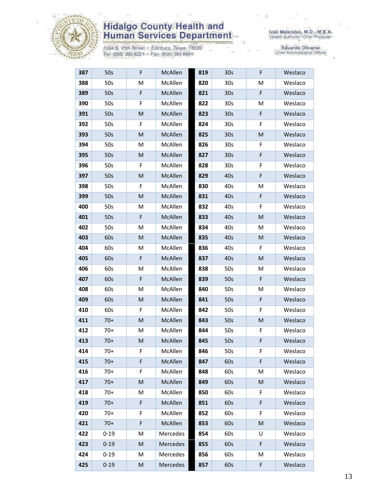

1304 S. 25th Street • Edinburg, Texas 78539<br>Tel: (956) 383-6221 • Fax: (956) 383-8864

| 387 | 50s      | F | McAllen  | 819 | 30 <sub>s</sub> | F | Weslaco |
|-----|----------|---|----------|-----|-----------------|---|---------|
| 388 | 50s      | M | McAllen  | 820 | 30s             | M | Weslaco |
| 389 | 50s      | F | McAllen  | 821 | 30 <sub>s</sub> | F | Weslaco |
| 390 | 50s      | F | McAllen  | 822 | 30 <sub>s</sub> | M | Weslaco |
| 391 | 50s      | M | McAllen  | 823 | 30 <sub>s</sub> | F | Weslaco |
| 392 | 50s      | F | McAllen  | 824 | 30 <sub>s</sub> | F | Weslaco |
| 393 | 50s      | M | McAllen  | 825 | 30 <sub>s</sub> | M | Weslaco |
| 394 | 50s      | M | McAllen  | 826 | 30 <sub>s</sub> | F | Weslaco |
| 395 | 50s      | M | McAllen  | 827 | 30 <sub>s</sub> | F | Weslaco |
| 396 | 50s      | F | McAllen  | 828 | 30s             | F | Weslaco |
| 397 | 50s      | M | McAllen  | 829 | 40s             | F | Weslaco |
| 398 | 50s      | F | McAllen  | 830 | 40s             | M | Weslaco |
| 399 | 50s      | M | McAllen  | 831 | 40s             | F | Weslaco |
| 400 | 50s      | M | McAllen  | 832 | 40s             | F | Weslaco |
| 401 | 50s      | F | McAllen  | 833 | 40s             | M | Weslaco |
| 402 | 50s      | M | McAllen  | 834 | 40s             | M | Weslaco |
| 403 | 60s      | M | McAllen  | 835 | 40s             | M | Weslaco |
| 404 | 60s      | M | McAllen  | 836 | 40s             | F | Weslaco |
| 405 | 60s      | F | McAllen  | 837 | 40s             | M | Weslaco |
| 406 | 60s      | М | McAllen  | 838 | 50s             | M | Weslaco |
| 407 | 60s      | F | McAllen  | 839 | 50s             | F | Weslaco |
| 408 | 60s      | M | McAllen  | 840 | 50s             | М | Weslaco |
| 409 | 60s      | M | McAllen  | 841 | 50s             | F | Weslaco |
| 410 | 60s      | F | McAllen  | 842 | 50s             | F | Weslaco |
| 411 | $70+$    | M | McAllen  | 843 | 50s             | M | Weslaco |
| 412 | $70+$    | M | McAllen  | 844 | 50s             | F | Weslaco |
| 413 | $70+$    | M | McAllen  | 845 | 50s             | F | Weslaco |
| 414 | $70+$    | F | McAllen  | 846 | 50s             | F | Weslaco |
| 415 | $70+$    | F | McAllen  | 847 | 60s             | F | Weslaco |
| 416 | $70+$    | F | McAllen  | 848 | 60s             | M | Weslaco |
| 417 | $70+$    | M | McAllen  | 849 | 60s             | M | Weslaco |
| 418 | $70+$    | M | McAllen  | 850 | 60s             | F | Weslaco |
| 419 | $70+$    | F | McAllen  | 851 | 60s             | F | Weslaco |
| 420 | 70+      | F | McAllen  | 852 | 60s             | F | Weslaco |
| 421 | $70+$    | F | McAllen  | 853 | 60s             | M | Weslaco |
| 422 | $0 - 19$ | M | Mercedes | 854 | 60s             | U | Weslaco |
| 423 | $0 - 19$ | M | Mercedes | 855 | 60s             | F | Weslaco |
| 424 | $0 - 19$ | M | Mercedes | 856 | 60s             | M | Weslaco |
| 425 | $0 - 19$ | M | Mercedes | 857 | 60s             | F | Weslaco |